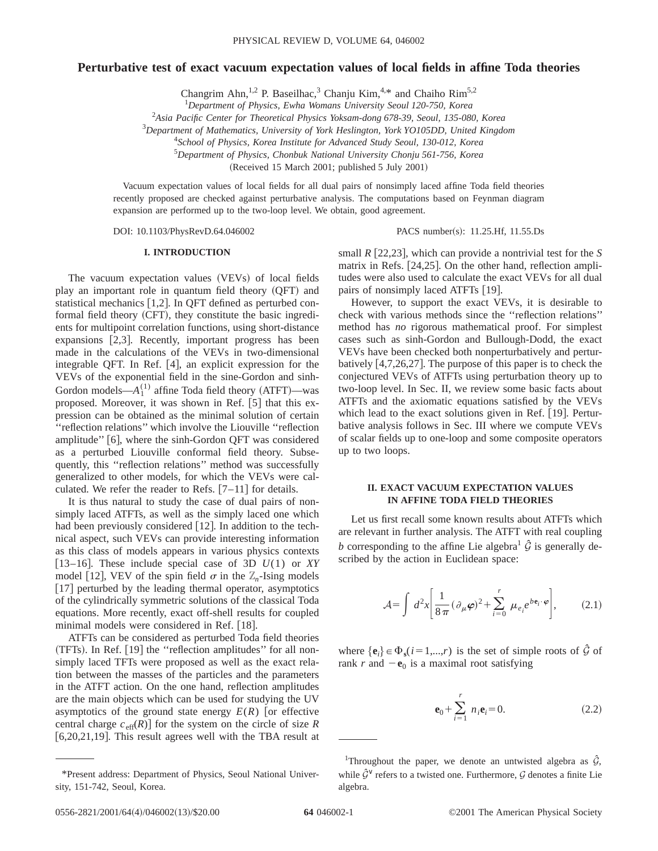# **Perturbative test of exact vacuum expectation values of local fields in affine Toda theories**

Changrim Ahn,<sup>1,2</sup> P. Baseilhac,<sup>3</sup> Chanju Kim,<sup>4,\*</sup> and Chaiho Rim<sup>5,2</sup>

1 *Department of Physics, Ewha Womans University Seoul 120-750, Korea*

2 *Asia Pacific Center for Theoretical Physics Yoksam-dong 678-39, Seoul, 135-080, Korea*

3 *Department of Mathematics, University of York Heslington, York YO105DD, United Kingdom*

4 *School of Physics, Korea Institute for Advanced Study Seoul, 130-012, Korea*

5 *Department of Physics, Chonbuk National University Chonju 561-756, Korea*

 $(Received 15 March 2001; published 5 July 2001)$ 

Vacuum expectation values of local fields for all dual pairs of nonsimply laced affine Toda field theories recently proposed are checked against perturbative analysis. The computations based on Feynman diagram expansion are performed up to the two-loop level. We obtain, good agreement.

DOI: 10.1103/PhysRevD.64.046002 PACS number(s): 11.25.Hf, 11.55.Ds

## **I. INTRODUCTION**

The vacuum expectation values (VEVs) of local fields play an important role in quantum field theory (QFT) and statistical mechanics  $[1,2]$ . In QFT defined as perturbed conformal field theory  $(CFT)$ , they constitute the basic ingredients for multipoint correlation functions, using short-distance expansions  $[2,3]$ . Recently, important progress has been made in the calculations of the VEVs in two-dimensional integrable QFT. In Ref.  $[4]$ , an explicit expression for the VEVs of the exponential field in the sine-Gordon and sinh-Gordon models— $A_1^{(1)}$  affine Toda field theory (ATFT)—was proposed. Moreover, it was shown in Ref.  $[5]$  that this expression can be obtained as the minimal solution of certain ''reflection relations'' which involve the Liouville ''reflection amplitude"  $[6]$ , where the sinh-Gordon OFT was considered as a perturbed Liouville conformal field theory. Subsequently, this ''reflection relations'' method was successfully generalized to other models, for which the VEVs were calculated. We refer the reader to Refs.  $[7-11]$  for details.

It is thus natural to study the case of dual pairs of nonsimply laced ATFTs, as well as the simply laced one which had been previously considered [12]. In addition to the technical aspect, such VEVs can provide interesting information as this class of models appears in various physics contexts [13–16]. These include special case of 3D  $U(1)$  or *XY* model [12], VEV of the spin field  $\sigma$  in the  $\mathbb{Z}_n$ -Ising models  $[17]$  perturbed by the leading thermal operator, asymptotics of the cylindrically symmetric solutions of the classical Toda equations. More recently, exact off-shell results for coupled minimal models were considered in Ref. [18].

ATFTs can be considered as perturbed Toda field theories  $(TFTs)$ . In Ref.  $[19]$  the "reflection amplitudes" for all nonsimply laced TFTs were proposed as well as the exact relation between the masses of the particles and the parameters in the ATFT action. On the one hand, reflection amplitudes are the main objects which can be used for studying the UV asymptotics of the ground state energy  $E(R)$  [or effective central charge  $c_{\text{eff}}(R)$  for the system on the circle of size *R*  $[6,20,21,19]$ . This result agrees well with the TBA result at small  $R$  [22,23], which can provide a nontrivial test for the *S* matrix in Refs.  $[24,25]$ . On the other hand, reflection amplitudes were also used to calculate the exact VEVs for all dual pairs of nonsimply laced ATFTs  $[19]$ .

However, to support the exact VEVs, it is desirable to check with various methods since the ''reflection relations'' method has *no* rigorous mathematical proof. For simplest cases such as sinh-Gordon and Bullough-Dodd, the exact VEVs have been checked both nonperturbatively and perturbatively  $[4,7,26,27]$ . The purpose of this paper is to check the conjectured VEVs of ATFTs using perturbation theory up to two-loop level. In Sec. II, we review some basic facts about ATFTs and the axiomatic equations satisfied by the VEVs which lead to the exact solutions given in Ref.  $[19]$ . Perturbative analysis follows in Sec. III where we compute VEVs of scalar fields up to one-loop and some composite operators up to two loops.

## **II. EXACT VACUUM EXPECTATION VALUES IN AFFINE TODA FIELD THEORIES**

Let us first recall some known results about ATFTs which are relevant in further analysis. The ATFT with real coupling *b* corresponding to the affine Lie algebra<sup>1</sup>  $\hat{G}$  is generally described by the action in Euclidean space:

$$
\mathcal{A} = \int d^2x \left[ \frac{1}{8\,\pi} (\partial_\mu \boldsymbol{\varphi})^2 + \sum_{i=0}^r \mu_{e_i} e^{b \mathbf{e}_i \cdot \boldsymbol{\varphi}} \right],\tag{2.1}
$$

where  $\{\mathbf{e}_i\} \in \Phi_s(i=1,...,r)$  is the set of simple roots of  $\hat{\mathcal{G}}$  of rank *r* and  $-\mathbf{e}_0$  is a maximal root satisfying

$$
\mathbf{e}_0 + \sum_{i=1}^r n_i \mathbf{e}_i = 0.
$$
 (2.2)

<sup>\*</sup>Present address: Department of Physics, Seoul National University, 151-742, Seoul, Korea.

<sup>&</sup>lt;sup>1</sup>Throughout the paper, we denote an untwisted algebra as  $\hat{G}$ , while  $\hat{\mathcal{G}}^{\vee}$  refers to a twisted one. Furthermore,  $\mathcal{G}$  denotes a finite Lie algebra.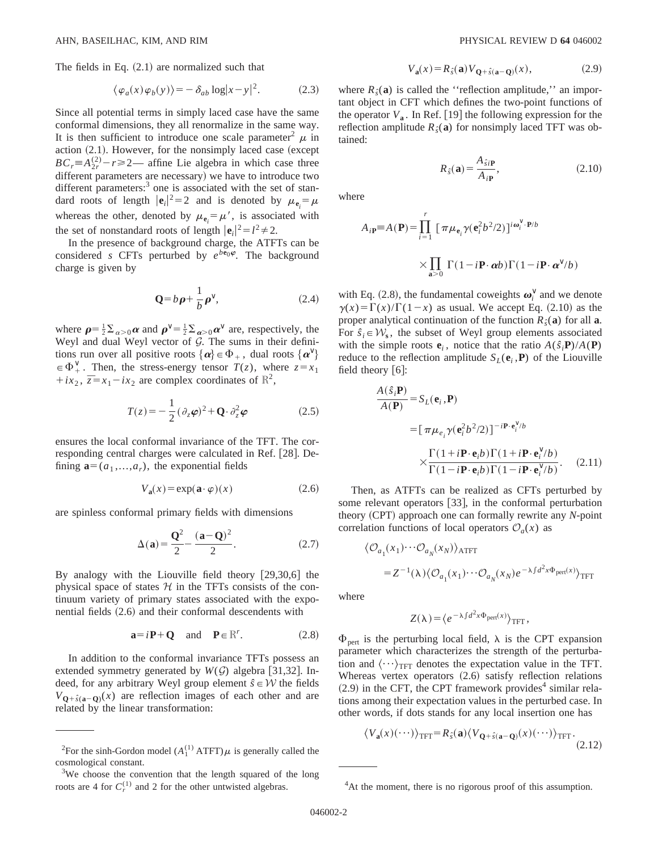The fields in Eq.  $(2.1)$  are normalized such that

$$
\langle \varphi_a(x)\varphi_b(y)\rangle = -\delta_{ab} \log |x-y|^2. \tag{2.3}
$$

Since all potential terms in simply laced case have the same conformal dimensions, they all renormalize in the same way. It is then sufficient to introduce one scale parameter<sup>2</sup>  $\mu$  in action  $(2.1)$ . However, for the nonsimply laced case (except  $BC_r = A_{2r}^{(2)} - r \ge 2$ — affine Lie algebra in which case three different parameters are necessary) we have to introduce two different parameters: $3$  one is associated with the set of standard roots of length  $|\mathbf{e}_i|^2 = 2$  and is denoted by  $\mu_{\mathbf{e}_i} = \mu$ whereas the other, denoted by  $\mu_{\mathbf{e}_i} = \mu'$ , is associated with the set of nonstandard roots of length  $|\mathbf{e}_i|^2 = l^2 \neq 2$ .

In the presence of background charge, the ATFTs can be considered *s* CFTs perturbed by  $e^{b\mathbf{e}_0\boldsymbol{\varphi}}$ . The background charge is given by

$$
\mathbf{Q} = b\,\boldsymbol{\rho} + \frac{1}{b}\,\boldsymbol{\rho}^{\vee},\tag{2.4}
$$

where  $\rho = \frac{1}{2} \sum_{\alpha > 0} \alpha$  and  $\rho^{\vee} = \frac{1}{2} \sum_{\alpha > 0} \alpha^{\vee}$  are, respectively, the Weyl and dual Weyl vector of  $G$ . The sums in their definitions run over all positive roots  $\{\boldsymbol{\alpha}\}\in \Phi_+$ , dual roots  $\{\boldsymbol{\alpha}^\vee\}$  $\in \Phi^{\vee}_+$ . Then, the stress-energy tensor *T*(*z*), where  $z = x_1$  $+ix_2$ ,  $\overline{z}=x_1-ix_2$  are complex coordinates of  $\mathbb{R}^2$ ,

$$
T(z) = -\frac{1}{2} (\partial_z \varphi)^2 + \mathbf{Q} \cdot \partial_z^2 \varphi \tag{2.5}
$$

ensures the local conformal invariance of the TFT. The corresponding central charges were calculated in Ref. [28]. Defining  $\mathbf{a}=(a_1,...,a_r)$ , the exponential fields

$$
V_{\mathbf{a}}(x) = \exp(\mathbf{a} \cdot \varphi)(x) \tag{2.6}
$$

are spinless conformal primary fields with dimensions

$$
\Delta(\mathbf{a}) = \frac{\mathbf{Q}^2}{2} - \frac{(\mathbf{a} - \mathbf{Q})^2}{2}.
$$
 (2.7)

By analogy with the Liouville field theory  $[29,30,6]$  the physical space of states  $H$  in the TFTs consists of the continuum variety of primary states associated with the exponential fields  $(2.6)$  and their conformal descendents with

$$
\mathbf{a} = i\mathbf{P} + \mathbf{Q} \quad \text{and} \quad \mathbf{P} \in \mathbb{R}^r. \tag{2.8}
$$

In addition to the conformal invariance TFTs possess an extended symmetry generated by  $W(\mathcal{G})$  algebra [31,32]. Indeed, for any arbitrary Weyl group element  $\hat{s} \in \mathcal{W}$  the fields  $V_{\mathbf{Q}+\hat{s}(\mathbf{a}-\mathbf{Q})}(x)$  are reflection images of each other and are related by the linear transformation:

$$
V_{\mathbf{a}}(x) = R_{\hat{s}}(\mathbf{a}) V_{\mathbf{Q} + \hat{s}(\mathbf{a} - \mathbf{Q})}(x),\tag{2.9}
$$

where  $R<sub>\hat{g}(\mathbf{a})</sub>$  is called the "reflection amplitude," an important object in CFT which defines the two-point functions of the operator  $V_a$ . In Ref. [19] the following expression for the reflection amplitude  $R_{\hat{s}}(a)$  for nonsimply laced TFT was obtained:

$$
R_{\hat{s}}(\mathbf{a}) = \frac{A_{\hat{s}i\mathbf{P}}}{A_{i\mathbf{P}}},\tag{2.10}
$$

where

$$
A_{i\mathbf{P}} = A(\mathbf{P}) = \prod_{i=1}^{r} \left[ \pi \mu_{\mathbf{e}_i} \gamma(\mathbf{e}_i^2 b^2 / 2) \right]^{i\omega_i^{\vee} \cdot \mathbf{P}/b}
$$

$$
\times \prod_{\mathbf{a} > 0} \Gamma(1 - i\mathbf{P} \cdot \boldsymbol{\alpha} b) \Gamma(1 - i\mathbf{P} \cdot \boldsymbol{\alpha}^{\vee}/b)
$$

with Eq. (2.8), the fundamental coweights  $\boldsymbol{\omega}_i^{\vee}$  and we denote  $\gamma(x) = \Gamma(x)/\Gamma(1-x)$  as usual. We accept Eq. (2.10) as the proper analytical continuation of the function  $R_{\hat{s}}(a)$  for all **a**. For  $\hat{s}_i \in \mathcal{W}_s$ , the subset of Weyl group elements associated with the simple roots  $e_i$ , notice that the ratio  $A(\hat{s}_i \mathbf{P})/A(\mathbf{P})$ reduce to the reflection amplitude  $S_L(\mathbf{e}_i, \mathbf{P})$  of the Liouville field theory  $[6]$ :

$$
\frac{A(\hat{s}_i \mathbf{P})}{A(\mathbf{P})} = S_L(\mathbf{e}_i, \mathbf{P})
$$
\n
$$
= [\pi \mu_{e_i} \gamma (\mathbf{e}_i^2 b^2 / 2)]^{-i \mathbf{P} \cdot \mathbf{e}_i^{\vee}/b}
$$
\n
$$
\times \frac{\Gamma(1 + i \mathbf{P} \cdot \mathbf{e}_i b) \Gamma(1 + i \mathbf{P} \cdot \mathbf{e}_i^{\vee}/b)}{\Gamma(1 - i \mathbf{P} \cdot \mathbf{e}_i b) \Gamma(1 - i \mathbf{P} \cdot \mathbf{e}_i^{\vee}/b)}.
$$
\n(2.11)

Then, as ATFTs can be realized as CFTs perturbed by some relevant operators  $[33]$ , in the conformal perturbation theory (CPT) approach one can formally rewrite any *N*-point correlation functions of local operators  $\mathcal{O}_a(x)$  as

$$
\langle \mathcal{O}_{a_1}(x_1) \cdots \mathcal{O}_{a_N}(x_N) \rangle_{\text{ATFT}}
$$
  
=  $Z^{-1}(\lambda) \langle \mathcal{O}_{a_1}(x_1) \cdots \mathcal{O}_{a_N}(x_N) e^{-\lambda \int d^2 x \Phi_{\text{pert}}(x)} \rangle_{\text{TFT}}$ 

where

$$
Z(\lambda) = \langle e^{-\lambda \int d^2x \Phi_{\text{pert}}(x)} \rangle_{\text{TFT}},
$$

 $\Phi_{\text{pert}}$  is the perturbing local field,  $\lambda$  is the CPT expansion parameter which characterizes the strength of the perturbation and  $\langle \cdots \rangle_{TFT}$  denotes the expectation value in the TFT. Whereas vertex operators  $(2.6)$  satisfy reflection relations  $(2.9)$  in the CFT, the CPT framework provides<sup>4</sup> similar relations among their expectation values in the perturbed case. In other words, if dots stands for any local insertion one has

$$
\langle V_{\mathbf{a}}(x)(\cdots)\rangle_{\text{TFT}} = R_{\hat{s}}(\mathbf{a}) \langle V_{\mathbf{Q}+\hat{s}(\mathbf{a}-\mathbf{Q})}(x)(\cdots)\rangle_{\text{TFT}}.
$$
\n(2.12)

<sup>&</sup>lt;sup>2</sup>For the sinh-Gordon model ( $A_1^{(1)}$  ATFT) $\mu$  is generally called the (2.12) cosmological constant.

 $3W$ e choose the convention that the length squared of the long roots are 4 for  $C_r^{(1)}$  and 2 for the other untwisted algebras. <sup>4</sup>

<sup>&</sup>lt;sup>4</sup>At the moment, there is no rigorous proof of this assumption.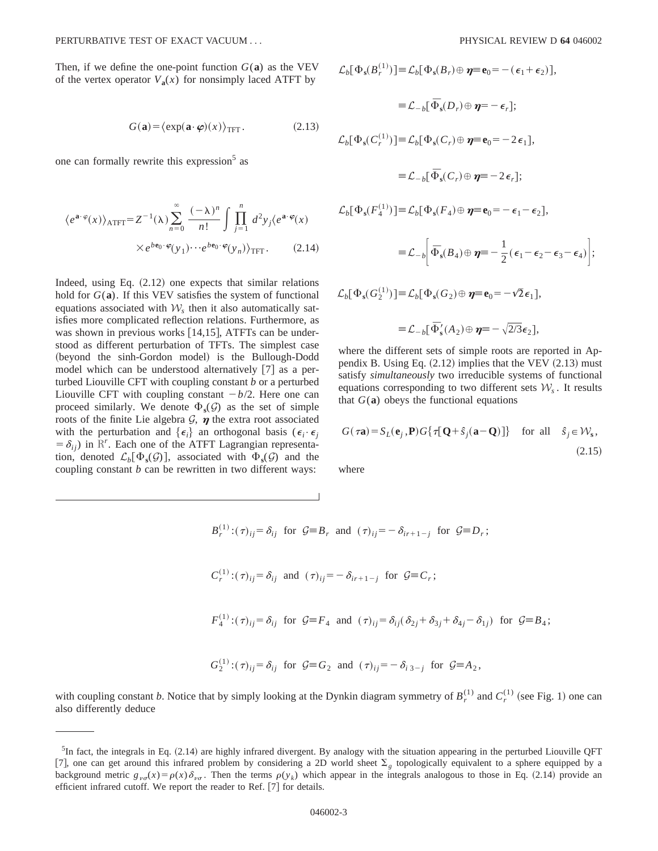Then, if we define the one-point function  $G(\mathbf{a})$  as the VEV of the vertex operator  $V_a(x)$  for nonsimply laced ATFT by

$$
G(\mathbf{a}) = \langle \exp(\mathbf{a} \cdot \boldsymbol{\varphi})(x) \rangle_{\text{TFT}}.
$$
 (2.13)

one can formally rewrite this expression<sup>5</sup> as

$$
\langle e^{\mathbf{a}\cdot\varphi}(x)\rangle_{\text{ATT}} = Z^{-1}(\lambda) \sum_{n=0}^{\infty} \frac{(-\lambda)^n}{n!} \int \prod_{j=1}^n d^2 y_j \langle e^{\mathbf{a}\cdot\varphi}(x) \times e^{b\mathbf{e}_0\cdot\varphi}(y_1) \cdots e^{b\mathbf{e}_0\cdot\varphi}(y_n) \rangle_{\text{TFT}}.
$$
 (2.14)

Indeed, using Eq.  $(2.12)$  one expects that similar relations hold for  $G(\mathbf{a})$ . If this VEV satisfies the system of functional equations associated with  $W<sub>s</sub>$  then it also automatically satisfies more complicated reflection relations. Furthermore, as was shown in previous works  $[14,15]$ , ATFTs can be understood as different perturbation of TFTs. The simplest case (beyond the sinh-Gordon model) is the Bullough-Dodd model which can be understood alternatively  $[7]$  as a perturbed Liouville CFT with coupling constant *b* or a perturbed Liouville CFT with coupling constant  $-b/2$ . Here one can proceed similarly. We denote  $\Phi_s(\mathcal{G})$  as the set of simple roots of the finite Lie algebra  $G$ ,  $\eta$  the extra root associated with the perturbation and  $\{\epsilon_i\}$  an orthogonal basis ( $\epsilon_i \cdot \epsilon_j$  $= \delta_{ij}$ ) in R<sup>r</sup>. Each one of the ATFT Lagrangian representation, denoted  $\mathcal{L}_b[\Phi_s(\mathcal{G})]$ , associated with  $\Phi_s(\mathcal{G})$  and the coupling constant *b* can be rewritten in two different ways:

$$
\mathcal{L}_{b}[\Phi_{s}(B_{r}^{(1)})] \equiv \mathcal{L}_{b}[\Phi_{s}(B_{r}) \oplus \boldsymbol{\eta} \equiv \mathbf{e}_{0} = -(\epsilon_{1} + \epsilon_{2})],
$$
\n
$$
\equiv \mathcal{L}_{-b}[\Phi_{s}(D_{r}) \oplus \boldsymbol{\eta} \equiv -\epsilon_{r}];
$$
\n
$$
\mathcal{L}_{b}[\Phi_{s}(C_{r}^{(1)})] \equiv \mathcal{L}_{b}[\Phi_{s}(C_{r}) \oplus \boldsymbol{\eta} \equiv \mathbf{e}_{0} = -2 \epsilon_{1}],
$$
\n
$$
\equiv \mathcal{L}_{-b}[\bar{\Phi}_{s}(C_{r}) \oplus \boldsymbol{\eta} \equiv -2 \epsilon_{r}];
$$
\n
$$
\mathcal{L}_{b}[\Phi_{s}(F_{4}^{(1)})] \equiv \mathcal{L}_{b}[\Phi_{s}(F_{4}) \oplus \boldsymbol{\eta} \equiv \mathbf{e}_{0} = -\epsilon_{1} - \epsilon_{2}],
$$
\n
$$
\equiv \mathcal{L}_{-b}[\bar{\Phi}_{s}(B_{4}) \oplus \boldsymbol{\eta} \equiv -\frac{1}{2}(\epsilon_{1} - \epsilon_{2} - \epsilon_{3} - \epsilon_{4})];
$$
\n
$$
\mathcal{L}_{b}[\Phi_{s}(G_{2}^{(1)})] \equiv \mathcal{L}_{b}[\Phi_{s}(G_{2}) \oplus \boldsymbol{\eta} \equiv \mathbf{e}_{0} = -\sqrt{2}\epsilon_{1}],
$$

 $\equiv \mathcal{L}_{-b}[\bar{\Phi}'_s(A_2) \oplus \eta \equiv -\sqrt{2/3}\epsilon_2],$ 

where the different sets of simple roots are reported in Appendix B. Using Eq.  $(2.12)$  implies that the VEV  $(2.13)$  must satisfy *simultaneously* two irreducible systems of functional equations corresponding to two different sets  $W<sub>s</sub>$ . It results that  $G(a)$  obeys the functional equations

$$
G(\tau \mathbf{a}) = S_L(\mathbf{e}_j, \mathbf{P}) G\{\tau [\mathbf{Q} + \hat{s}_j(\mathbf{a} - \mathbf{Q})]\} \text{ for all } \hat{s}_j \in \mathcal{W}_\mathbf{s},
$$
\n(2.15)

where

$$
B_r^{(1)}: (\tau)_{ij} = \delta_{ij} \text{ for } \mathcal{G} \equiv B_r \text{ and } (\tau)_{ij} = -\delta_{ir+1-j} \text{ for } \mathcal{G} \equiv D_r;
$$
  

$$
C_r^{(1)}: (\tau)_{ij} = \delta_{ij} \text{ and } (\tau)_{ij} = -\delta_{ir+1-j} \text{ for } \mathcal{G} \equiv C_r;
$$
  

$$
F_4^{(1)}: (\tau)_{ij} = \delta_{ij} \text{ for } \mathcal{G} \equiv F_4 \text{ and } (\tau)_{ij} = \delta_{ij}(\delta_{2j} + \delta_{3j} + \delta_{4j} - \delta_{1j}) \text{ for } \mathcal{G} \equiv B_4;
$$
  

$$
G_2^{(1)}: (\tau)_{ij} = \delta_{ij} \text{ for } \mathcal{G} \equiv G_2 \text{ and } (\tau)_{ij} = -\delta_{i\,3-j} \text{ for } \mathcal{G} \equiv A_2,
$$

with coupling constant *b*. Notice that by simply looking at the Dynkin diagram symmetry of  $B_r^{(1)}$  and  $C_r^{(1)}$  (see Fig. 1) one can also differently deduce

 ${}^{5}$ In fact, the integrals in Eq. (2.14) are highly infrared divergent. By analogy with the situation appearing in the perturbed Liouville QFT [7], one can get around this infrared problem by considering a 2D world sheet  $\Sigma<sub>g</sub>$  topologically equivalent to a sphere equipped by a background metric  $g_{\nu\sigma}(x) = \rho(x)\delta_{\nu\sigma}$ . Then the terms  $\rho(y_k)$  which appear in the integrals analogous to those in Eq. (2.14) provide an efficient infrared cutoff. We report the reader to Ref.  $[7]$  for details.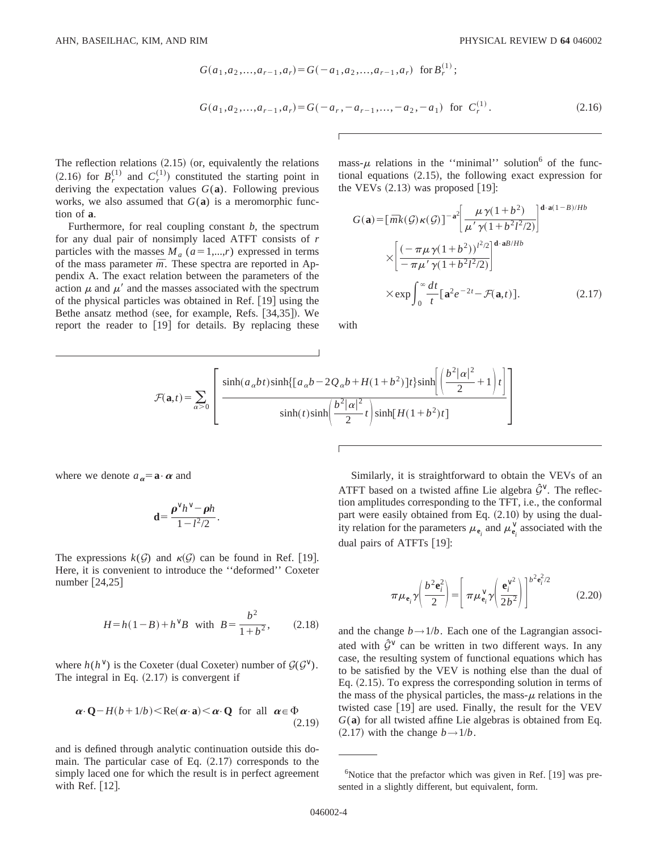$$
G(a_1, a_2,..., a_{r-1}, a_r) = G(-a_1, a_2,..., a_{r-1}, a_r) \text{ for } B_r^{(1)};
$$
  

$$
G(a_1, a_2,..., a_{r-1}, a_r) = G(-a_r, -a_{r-1},..., -a_2, -a_1) \text{ for } C_r^{(1)}.
$$
 (2.16)

The reflection relations  $(2.15)$  (or, equivalently the relations  $(2.16)$  for  $B_r^{(1)}$  and  $C_r^{(1)}$  constituted the starting point in deriving the expectation values  $G(\mathbf{a})$ . Following previous works, we also assumed that  $G(a)$  is a meromorphic function of **a**.

Furthermore, for real coupling constant *b*, the spectrum for any dual pair of nonsimply laced ATFT consists of *r* particles with the masses  $M_a$  ( $a=1,...,r$ ) expressed in terms of the mass parameter  $\bar{m}$ . These spectra are reported in Appendix A. The exact relation between the parameters of the action  $\mu$  and  $\mu'$  and the masses associated with the spectrum of the physical particles was obtained in Ref.  $[19]$  using the Bethe ansatz method (see, for example, Refs. [34,35]). We report the reader to  $[19]$  for details. By replacing these mass- $\mu$  relations in the "minimal" solution<sup>6</sup> of the functional equations  $(2.15)$ , the following exact expression for the VEVs  $(2.13)$  was proposed [19]:

$$
G(\mathbf{a}) = \left[\bar{m}k(\mathcal{G})\kappa(\mathcal{G})\right]^{-\mathbf{a}^2} \left[\frac{\mu\gamma(1+b^2)}{\mu'\gamma(1+b^2t^2/2)}\right]^{\mathbf{d}\cdot\mathbf{a}(1-B)/Hb}
$$

$$
\times \left[\frac{\left(-\pi\mu\gamma(1+b^2)\right)^{t^2/2}}{-\pi\mu'\gamma(1+b^2t^2/2)}\right]^{\mathbf{d}\cdot\mathbf{a}B/Hb}
$$

$$
\times \exp\int_0^\infty \frac{dt}{t} \left[\mathbf{a}^2 e^{-2t} - \mathcal{F}(\mathbf{a},t)\right]. \tag{2.17}
$$

with

$$
\mathcal{F}(\mathbf{a},t) = \sum_{\alpha > 0} \left[ \frac{\sinh(a_{\alpha}bt)\sinh\left\{\left[a_{\alpha}b - 2Q_{\alpha}b + H(1+b^2)\right]t\right\}\sinh\left(\frac{b^2|\alpha|^2}{2} + 1\right)t\right\}}{\sinh(t)\sinh\left(\frac{b^2|\alpha|^2}{2}t\right)\sinh\left[H(1+b^2)t\right]}
$$

where we denote  $a_{\alpha} = \mathbf{a} \cdot \alpha$  and

$$
\mathbf{d} = \frac{\boldsymbol{\rho}^{\vee} h^{\vee} - \boldsymbol{\rho} h}{1 - l^2/2}.
$$

The expressions  $k(G)$  and  $\kappa(G)$  can be found in Ref. [19]. Here, it is convenient to introduce the ''deformed'' Coxeter number  $[24,25]$ 

$$
H = h(1 - B) + h^{\vee}B \quad \text{with} \quad B = \frac{b^2}{1 + b^2}, \tag{2.18}
$$

where  $h(h^{\vee})$  is the Coxeter (dual Coxeter) number of  $\mathcal{G}(\mathcal{G}^{\vee})$ . The integral in Eq.  $(2.17)$  is convergent if

$$
\boldsymbol{\alpha} \cdot \mathbf{Q} - H(b+1/b) < \text{Re}(\boldsymbol{\alpha} \cdot \mathbf{a}) < \boldsymbol{\alpha} \cdot \mathbf{Q} \quad \text{for all} \quad \boldsymbol{\alpha} \in \Phi \tag{2.19}
$$

and is defined through analytic continuation outside this domain. The particular case of Eq.  $(2.17)$  corresponds to the simply laced one for which the result is in perfect agreement with Ref.  $[12]$ .

Similarly, it is straightforward to obtain the VEVs of an ATFT based on a twisted affine Lie algebra  $\hat{G}^{\vee}$ . The reflection amplitudes corresponding to the TFT, i.e., the conformal part were easily obtained from Eq.  $(2.10)$  by using the duality relation for the parameters  $\mu_{\mathbf{e}_i}$  and  $\mu_{\mathbf{e}_i}^{\vee}$  associated with the dual pairs of ATFTs [19]:

$$
\pi \mu_{\mathbf{e}_i} \gamma \left( \frac{b^2 \mathbf{e}_i^2}{2} \right) = \left[ \pi \mu_{\mathbf{e}_i}^{\vee} \gamma \left( \frac{\mathbf{e}_i^{\vee^2}}{2b^2} \right) \right]^{b^2 \mathbf{e}_i^2/2}
$$
 (2.20)

and the change  $b \rightarrow 1/b$ . Each one of the Lagrangian associ-ated with  $\hat{G}^{\vee}$  can be written in two different ways. In any case, the resulting system of functional equations which has to be satisfied by the VEV is nothing else than the dual of Eq.  $(2.15)$ . To express the corresponding solution in terms of the mass of the physical particles, the mass- $\mu$  relations in the twisted case  $[19]$  are used. Finally, the result for the VEV *G*(**a**) for all twisted affine Lie algebras is obtained from Eq.  $(2.17)$  with the change  $b \rightarrow 1/b$ .

 $6$ Notice that the prefactor which was given in Ref. [19] was presented in a slightly different, but equivalent, form.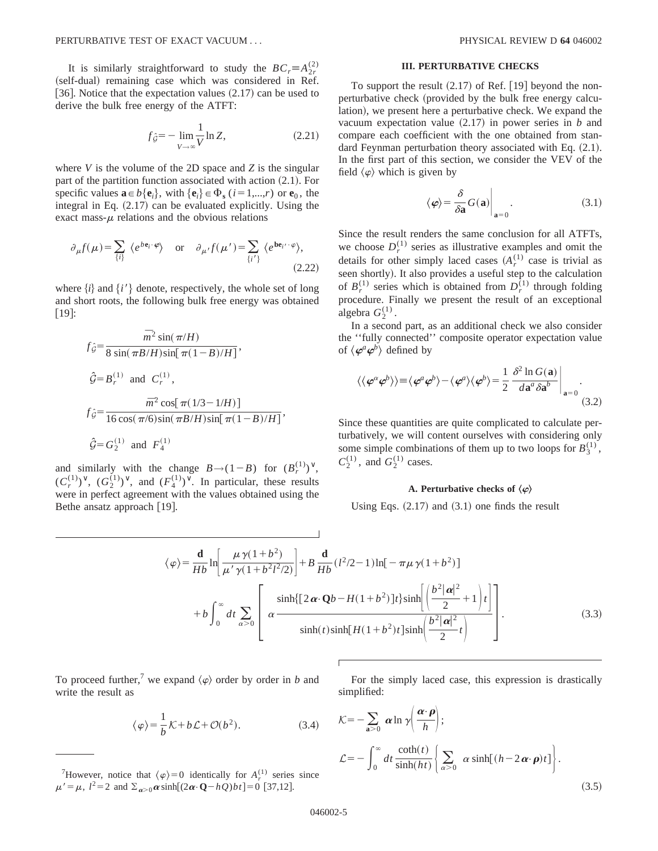It is similarly straightforward to study the  $BC_r \equiv A_{2r}^{(2)}$ (self-dual) remaining case which was considered in Ref. [36]. Notice that the expectation values  $(2.17)$  can be used to derive the bulk free energy of the ATFT:

$$
f_{\hat{G}} = -\lim_{V \to \infty} \frac{1}{V} \ln Z, \tag{2.21}
$$

where *V* is the volume of the 2D space and *Z* is the singular part of the partition function associated with action  $(2.1)$ . For specific values  $\mathbf{a} \in b\{\mathbf{e}_i\}$ , with  $\{\mathbf{e}_i\} \in \Phi_s$  ( $i=1,\dots,r$ ) or  $\mathbf{e}_0$ , the integral in Eq.  $(2.17)$  can be evaluated explicitly. Using the exact mass- $\mu$  relations and the obvious relations

$$
\partial_{\mu} f(\mu) = \sum_{\{i\}} \langle e^{b \mathbf{e}_i \cdot \boldsymbol{\varphi}} \rangle \quad \text{or} \quad \partial_{\mu'} f(\mu') = \sum_{\{i'\}} \langle e^{b \mathbf{e}_{i'} \cdot \boldsymbol{\varphi}} \rangle,
$$
\n(2.22)

where  $\{i\}$  and  $\{i'\}$  denote, respectively, the whole set of long and short roots, the following bulk free energy was obtained  $\lfloor 19 \rfloor$ :

$$
f_{\hat{G}} = \frac{\overline{m}^2 \sin(\pi/H)}{8 \sin(\pi B/H) \sin[\pi(1-B)/H]},
$$
  

$$
\hat{G} = B_r^{(1)} \text{ and } C_r^{(1)},
$$
  

$$
f_{\hat{G}} = \frac{\overline{m}^2 \cos[\pi(1/3 - 1/H)]}{16 \cos(\pi/6) \sin(\pi B/H) \sin[\pi(1-B)/H]},
$$
  

$$
\hat{G} = G_2^{(1)} \text{ and } F_4^{(1)}
$$

and similarly with the change  $B \rightarrow (1-B)$  for  $(B_r^{(1)})^{\vee}$ ,  $(C_r^{(1)})^\vee$ ,  $(G_2^{(1)})^\vee$ , and  $(F_4^{(1)})^\vee$ . In particular, these results were in perfect agreement with the values obtained using the Bethe ansatz approach  $[19]$ .

## **III. PERTURBATIVE CHECKS**

To support the result  $(2.17)$  of Ref.  $[19]$  beyond the nonperturbative check (provided by the bulk free energy calculation), we present here a perturbative check. We expand the vacuum expectation value  $(2.17)$  in power series in *b* and compare each coefficient with the one obtained from standard Feynman perturbation theory associated with Eq.  $(2.1)$ . In the first part of this section, we consider the VEV of the field  $\langle \varphi \rangle$  which is given by

$$
\langle \varphi \rangle = \frac{\delta}{\delta \mathbf{a}} G(\mathbf{a}) \Big|_{\mathbf{a} = 0} . \tag{3.1}
$$

Since the result renders the same conclusion for all ATFTs, we choose  $D_r^{(1)}$  series as illustrative examples and omit the details for other simply laced cases  $(A_r^{(1)}$  case is trivial as seen shortly). It also provides a useful step to the calculation of  $B_r^{(1)}$  series which is obtained from  $D_r^{(1)}$  through folding procedure. Finally we present the result of an exceptional algebra  $G_2^{(1)}$ .

In a second part, as an additional check we also consider the ''fully connected'' composite operator expectation value of  $\langle \boldsymbol{\varphi}^a \boldsymbol{\varphi}^b \rangle$  defined by

$$
\langle \langle \varphi^a \varphi^b \rangle \rangle \equiv \langle \varphi^a \varphi^b \rangle - \langle \varphi^a \rangle \langle \varphi^b \rangle = \frac{1}{2} \left. \frac{\delta^2 \ln G(\mathbf{a})}{d\mathbf{a}^a \delta \mathbf{a}^b} \right|_{\mathbf{a} = 0} .
$$
\n(3.2)

Since these quantities are quite complicated to calculate perturbatively, we will content ourselves with considering only some simple combinations of them up to two loops for  $B_3^{(1)}$ ,  $C_2^{(1)}$ , and  $G_2^{(1)}$  cases.

#### **A. Perturbative checks of**  $\langle \varphi \rangle$

Using Eqs.  $(2.17)$  and  $(3.1)$  one finds the result

$$
\langle \varphi \rangle = \frac{\mathbf{d}}{Hb} \ln \left[ \frac{\mu \gamma (1+b^2)}{\mu' \gamma (1+b^2 l^2/2)} \right] + B \frac{\mathbf{d}}{Hb} (l^2/2 - 1) \ln [-\pi \mu \gamma (1+b^2)]
$$
  
+ 
$$
b \int_0^\infty dt \sum_{\alpha > 0} \left[ \alpha \frac{\sinh \{ [2\alpha \cdot \mathbf{Q}b - H(1+b^2)]t \} \sinh \left( \frac{b^2 |\alpha|^2}{2} + 1 \right) t \right]}{\sinh(t) \sinh[H(1+b^2)t] \sinh \left( \frac{b^2 |\alpha|^2}{2} t \right)} \right].
$$
 (3.3)

To proceed further,<sup>7</sup> we expand  $\langle \varphi \rangle$  order by order in *b* and write the result as

$$
\langle \varphi \rangle = \frac{1}{b} \mathcal{K} + b \mathcal{L} + \mathcal{O}(b^2). \tag{3.4}
$$

<sup>7</sup>However, notice that  $\langle \varphi \rangle = 0$  identically for  $A_r^{(1)}$  series since  $\mu' = \mu$ ,  $l^2 = 2$  and  $\Sigma_{\alpha > 0} \alpha \sinh[(2\alpha \cdot \mathbf{Q} - hQ)bt] = 0$  [37,12].

For the simply laced case, this expression is drastically simplified:

$$
\mathcal{K} = -\sum_{\mathbf{a} > 0} \alpha \ln \gamma \left( \frac{\alpha \cdot \boldsymbol{\rho}}{h} \right);
$$
  

$$
\mathcal{L} = -\int_0^\infty dt \frac{\coth(t)}{\sinh(ht)} \left\{ \sum_{\alpha > 0} \alpha \sinh[(h - 2\alpha \cdot \boldsymbol{\rho})t] \right\}.
$$
 (3.5)

 $\overline{1}$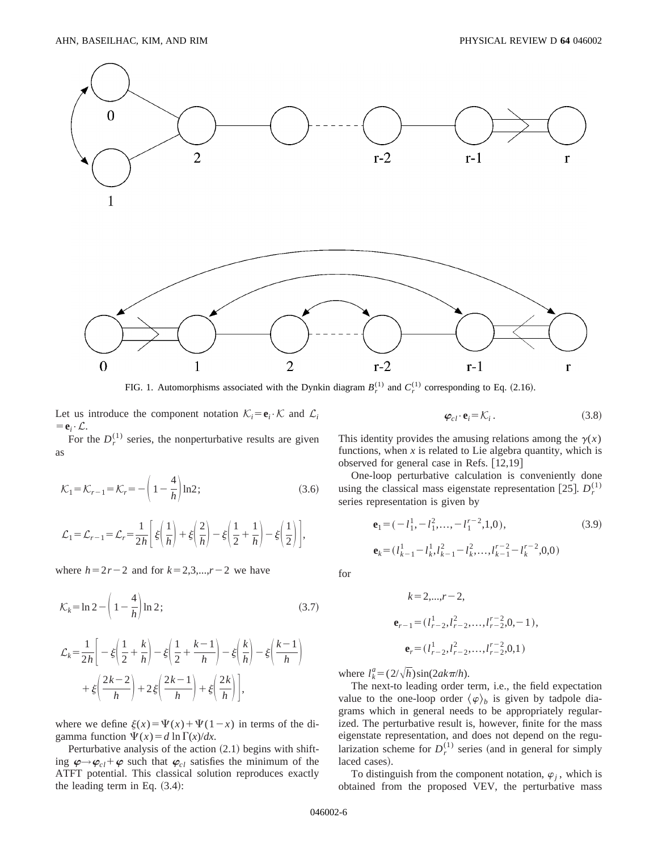

FIG. 1. Automorphisms associated with the Dynkin diagram  $B_r^{(1)}$  and  $C_r^{(1)}$  corresponding to Eq. (2.16).

Let us introduce the component notation  $\mathcal{K}_i = \mathbf{e}_i \cdot \mathcal{K}$  and  $\mathcal{L}_i$  $=$ **e**<sub>*i*</sub>• $\mathcal{L}$ .

For the  $D_r^{(1)}$  series, the nonperturbative results are given as

$$
\mathcal{K}_1 = \mathcal{K}_{r-1} = \mathcal{K}_r = -\left(1 - \frac{4}{h}\right) \ln 2; \tag{3.6}
$$

$$
\mathcal{L}_1 = \mathcal{L}_{r-1} = \mathcal{L}_r = \frac{1}{2h} \left[ \xi \left( \frac{1}{h} \right) + \xi \left( \frac{2}{h} \right) - \xi \left( \frac{1}{2} + \frac{1}{h} \right) - \xi \left( \frac{1}{2} \right) \right],
$$

where  $h=2r-2$  and for  $k=2,3,...,r-2$  we have

$$
\mathcal{K}_k = \ln 2 - \left(1 - \frac{4}{h}\right) \ln 2; \tag{3.7}
$$

$$
\mathcal{L}_k = \frac{1}{2h} \bigg[ -\xi \bigg( \frac{1}{2} + \frac{k}{h} \bigg) - \xi \bigg( \frac{1}{2} + \frac{k-1}{h} \bigg) - \xi \bigg( \frac{k}{h} \bigg) - \xi \bigg( \frac{k-1}{h} \bigg) + \xi \bigg( \frac{2k-2}{h} \bigg) + 2 \xi \bigg( \frac{2k-1}{h} \bigg) + \xi \bigg( \frac{2k}{h} \bigg) \bigg],
$$

where we define  $\xi(x) = \Psi(x) + \Psi(1-x)$  in terms of the digamma function  $\Psi(x) = d \ln \Gamma(x)/dx$ .

Perturbative analysis of the action  $(2.1)$  begins with shifting  $\varphi \rightarrow \varphi_{cl} + \varphi$  such that  $\varphi_{cl}$  satisfies the minimum of the ATFT potential. This classical solution reproduces exactly the leading term in Eq.  $(3.4)$ :

This identity provides the amusing relations among the  $\gamma(x)$ functions, when  $x$  is related to Lie algebra quantity, which is observed for general case in Refs.  $[12,19]$ 

 $\varphi_{cl} \cdot \mathbf{e}_i = \mathcal{K}_i$  . (3.8)

One-loop perturbative calculation is conveniently done using the classical mass eigenstate representation [25].  $D_r^{(1)}$ series representation is given by

$$
\mathbf{e}_{1} = (-l_{1}^{1}, -l_{1}^{2}, \dots, -l_{1}^{r-2}, 1, 0),
$$
\n
$$
\mathbf{e}_{k} = (l_{k-1}^{1} - l_{k}^{1}, l_{k-1}^{2} - l_{k}^{2}, \dots, l_{k-1}^{r-2} - l_{k}^{r-2}, 0, 0)
$$
\n(3.9)

for

$$
k = 2,...,r-2,
$$
  
\n
$$
\mathbf{e}_{r-1} = (l_{r-2}^1, l_{r-2}^2, ..., l_{r-2}^{r-2}, 0, -1),
$$
  
\n
$$
\mathbf{e}_r = (l_{r-2}^1, l_{r-2}^2, ..., l_{r-2}^{r-2}, 0, 1)
$$

where  $l_k^a = (2/\sqrt{h})\sin(2ak\pi/h)$ .

The next-to leading order term, i.e., the field expectation value to the one-loop order  $\langle \varphi \rangle_b$  is given by tadpole diagrams which in general needs to be appropriately regularized. The perturbative result is, however, finite for the mass eigenstate representation, and does not depend on the regularization scheme for  $D_r^{(1)}$  series (and in general for simply laced cases).

To distinguish from the component notation,  $\varphi_i$ , which is obtained from the proposed VEV, the perturbative mass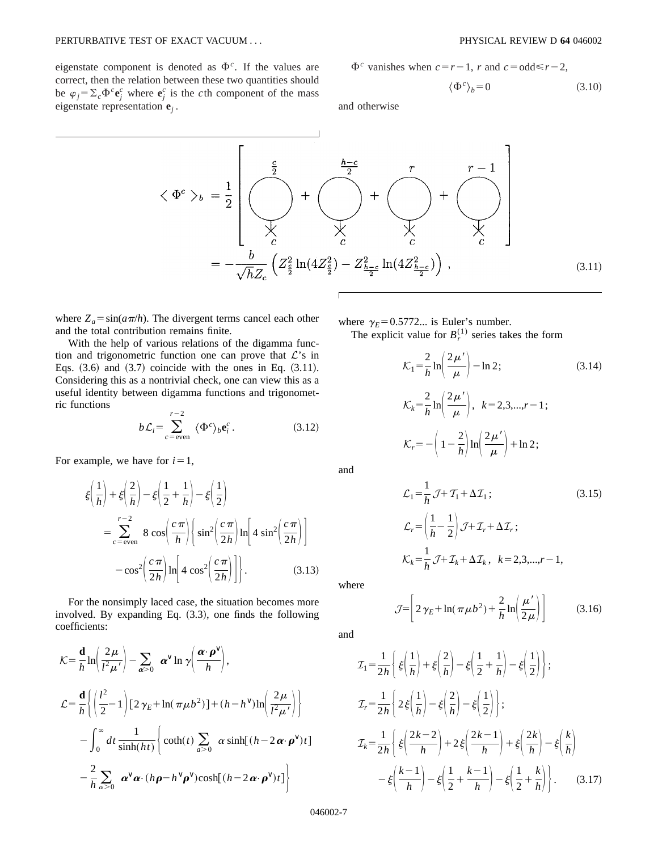eigenstate component is denoted as  $\Phi^c$ . If the values are correct, then the relation between these two quantities should be  $\varphi_j = \sum_c \Phi^c \mathbf{e}_j^c$  where  $\mathbf{e}_j^c$  is the *c*th component of the mass eigenstate representation **e***<sup>j</sup>* .

$$
\Phi^c
$$
 vanishes when  $c = r - 1$ , r and  $c = \text{odd} \leq r - 2$ ,

$$
\langle \Phi^c \rangle_b = 0 \tag{3.10}
$$

and otherwise

 $\overline{1}$ 

$$
\langle \Phi^c \rangle_b = \frac{1}{2} \left[ \bigotimes_{\substack{c \\ c}} \frac{e}{\sqrt{\lambda}} + \bigotimes_{\substack{c \\ c}} \frac{h-c}{2} + \bigotimes_{\substack{c \\ c}} \frac{r}{\lambda} + \bigotimes_{\substack{c \\ c \\ c}} \frac{r-1}{\lambda} \right]
$$

$$
= -\frac{b}{\sqrt{h}Z_c} \left( Z_{\frac{c}{2}}^2 \ln(4Z_{\frac{c}{2}}^2) - Z_{\frac{h-c}{2}}^2 \ln(4Z_{\frac{h-c}{2}}^2) \right), \tag{3.11}
$$

where  $Z_a = \sin(a\pi/h)$ . The divergent terms cancel each other and the total contribution remains finite.

With the help of various relations of the digamma function and trigonometric function one can prove that  $\mathcal{L}$ 's in Eqs.  $(3.6)$  and  $(3.7)$  coincide with the ones in Eq.  $(3.11)$ . Considering this as a nontrivial check, one can view this as a useful identity between digamma functions and trigonometric functions

$$
b\mathcal{L}_i = \sum_{c=\text{even}}^{r-2} \langle \Phi^c \rangle_b \mathbf{e}_i^c. \tag{3.12}
$$

For example, we have for  $i=1$ ,

$$
\begin{split} \xi\left(\frac{1}{h}\right) + \xi\left(\frac{2}{h}\right) - \xi\left(\frac{1}{2} + \frac{1}{h}\right) - \xi\left(\frac{1}{2}\right) \\ &= \sum_{c = \text{even}}^{r-2} 8\cos\left(\frac{c\pi}{h}\right) \left\{ \sin^2\left(\frac{c\pi}{2h}\right) \ln\left[4\sin^2\left(\frac{c\pi}{2h}\right)\right] - \cos^2\left(\frac{c\pi}{2h}\right) \ln\left[4\cos^2\left(\frac{c\pi}{2h}\right)\right] \right\}. \end{split} \tag{3.13}
$$

For the nonsimply laced case, the situation becomes more involved. By expanding Eq.  $(3.3)$ , one finds the following coefficients:

$$
\mathcal{K} = \frac{\mathbf{d}}{h} \ln \left( \frac{2\mu}{l^2 \mu'} \right) - \sum_{\alpha > 0} \alpha^{\vee} \ln \gamma \left( \frac{\alpha \cdot \mathbf{\rho}^{\vee}}{h} \right),
$$
  
\n
$$
\mathcal{L} = \frac{\mathbf{d}}{h} \left\{ \left( \frac{l^2}{2} - 1 \right) \left[ 2 \gamma_E + \ln(\pi \mu b^2) \right] + (h - h^{\vee}) \ln \left( \frac{2\mu}{l^2 \mu'} \right) \right\}
$$
  
\n
$$
- \int_0^{\infty} dt \, \frac{1}{\sinh(ht)} \left\{ \coth(t) \sum_{\alpha > 0} \alpha \sinh[(h - 2 \alpha \cdot \mathbf{\rho}^{\vee})t] \right\}
$$
  
\n
$$
- \frac{2}{h} \sum_{\alpha > 0} \alpha^{\vee} \alpha \cdot (h \mathbf{\rho} - h^{\vee} \mathbf{\rho}^{\vee}) \cosh[(h - 2 \alpha \cdot \mathbf{\rho}^{\vee})t] \right\}
$$

where  $\gamma_E = 0.5772...$  is Euler's number.

The explicit value for  $B_r^{(1)}$  series takes the form

$$
\mathcal{K}_1 = \frac{2}{h} \ln \left( \frac{2\mu'}{\mu} \right) - \ln 2; \qquad (3.14)
$$

$$
\mathcal{K}_k = \frac{2}{h} \ln \left( \frac{2\mu'}{\mu} \right), \quad k = 2, 3, \dots, r - 1; \qquad \mathcal{K}_r = -\left( 1 - \frac{2}{h} \right) \ln \left( \frac{2\mu'}{\mu} \right) + \ln 2; \qquad (3.12)
$$

and

$$
\mathcal{L}_1 = \frac{1}{h} \mathcal{J} + \mathcal{T}_1 + \Delta \mathcal{I}_1; \tag{3.15}
$$
\n
$$
\mathcal{L}_r = \left(\frac{1}{h} - \frac{1}{2}\right) \mathcal{J} + \mathcal{I}_r + \Delta \mathcal{I}_r; \tag{3.16}
$$
\n
$$
\mathcal{K}_k = \frac{1}{h} \mathcal{J} + \mathcal{I}_k + \Delta \mathcal{I}_k, \quad k = 2, 3, \dots, r - 1,
$$

where

$$
\mathcal{J} = \left[ 2\gamma_E + \ln(\pi\mu b^2) + \frac{2}{h} \ln\left(\frac{\mu'}{2\mu}\right) \right]
$$
 (3.16)

and

$$
\mathcal{I}_1 = \frac{1}{2h} \left\{ \xi \left( \frac{1}{h} \right) + \xi \left( \frac{2}{h} \right) - \xi \left( \frac{1}{2} + \frac{1}{h} \right) - \xi \left( \frac{1}{2} \right) \right\};
$$
\n
$$
\mathcal{I}_r = \frac{1}{2h} \left\{ 2\xi \left( \frac{1}{h} \right) - \xi \left( \frac{2}{h} \right) - \xi \left( \frac{1}{2} \right) \right\};
$$
\n
$$
\mathcal{I}_k = \frac{1}{2h} \left\{ \xi \left( \frac{2k-2}{h} \right) + 2\xi \left( \frac{2k-1}{h} \right) + \xi \left( \frac{2k}{h} \right) - \xi \left( \frac{k}{h} \right) \right\}
$$
\n
$$
- \xi \left( \frac{k-1}{h} \right) - \xi \left( \frac{1}{2} + \frac{k-1}{h} \right) - \xi \left( \frac{1}{2} + \frac{k}{h} \right) \right\}. \tag{3.17}
$$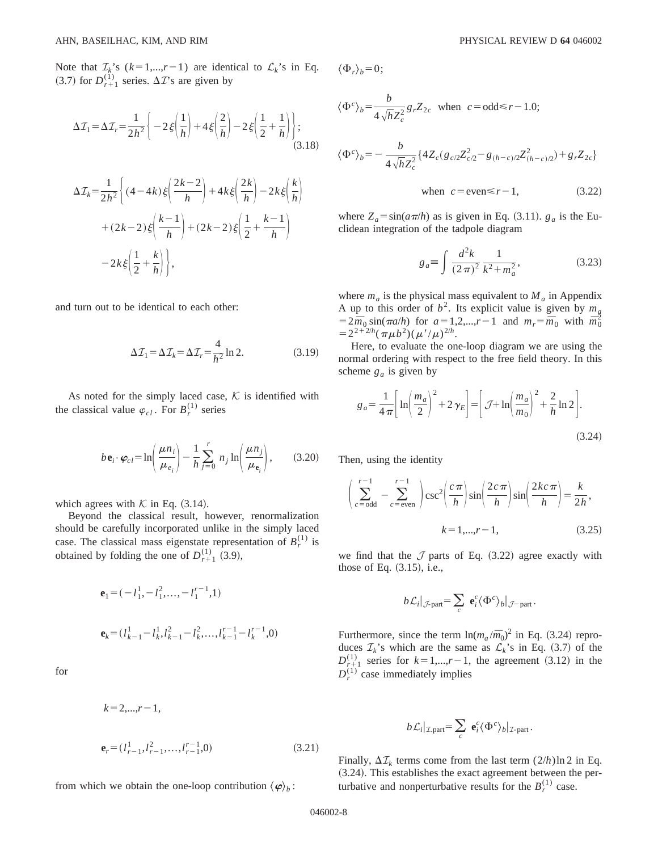Note that  $\mathcal{I}_k$ 's  $(k=1,...,r-1)$  are identical to  $\mathcal{L}_k$ 's in Eq.  $(3.7)$  for  $D_{r+1}^{(1)}$  series.  $\Delta T$ 's are given by

$$
\Delta \mathcal{I}_1 = \Delta \mathcal{I}_r = \frac{1}{2h^2} \left\{ -2\xi \left( \frac{1}{h} \right) + 4\xi \left( \frac{2}{h} \right) - 2\xi \left( \frac{1}{2} + \frac{1}{h} \right) \right\};
$$
\n
$$
\Delta \mathcal{I}_k = \frac{1}{2h^2} \left\{ (4 - 4k)\xi \left( \frac{2k - 2}{h} \right) + 4k\xi \left( \frac{2k}{h} \right) - 2k\xi \left( \frac{k}{h} \right) \right\}
$$
\n
$$
+ (2k - 2)\xi \left( \frac{k - 1}{h} \right) + (2k - 2)\xi \left( \frac{1}{2} + \frac{k - 1}{h} \right)
$$
\n
$$
- 2k\xi \left( \frac{1}{2} + \frac{k}{h} \right) \right\},
$$

and turn out to be identical to each other:

$$
\Delta \mathcal{I}_1 = \Delta \mathcal{I}_k = \Delta \mathcal{I}_r = \frac{4}{h^2} \ln 2. \tag{3.19}
$$

As noted for the simply laced case,  $K$  is identified with the classical value  $\varphi_{cl}$ . For  $B_r^{(1)}$  series

$$
b\mathbf{e}_i \cdot \boldsymbol{\varphi}_{cl} = \ln\left(\frac{\mu n_i}{\mu_{e_i}}\right) - \frac{1}{h} \sum_{j=0}^r n_j \ln\left(\frac{\mu n_j}{\mu_{e_i}}\right),\tag{3.20}
$$

which agrees with  $K$  in Eq.  $(3.14)$ .

Beyond the classical result, however, renormalization should be carefully incorporated unlike in the simply laced case. The classical mass eigenstate representation of  $B_r^{(1)}$  is obtained by folding the one of  $D_{r+1}^{(1)}$  (3.9),

$$
\mathbf{e}_1 = (-l_1^1, -l_1^2, \dots, -l_1^{r-1}, 1)
$$
  

$$
\mathbf{e}_k = (l_{k-1}^1 - l_k^1, l_{k-1}^2 - l_k^2, \dots, l_{k-1}^{r-1} - l_k^{r-1}, 0)
$$

for

$$
k = 2,...,r-1,
$$
  

$$
\mathbf{e}_r = (l_{r-1}^1, l_{r-1}^2, ..., l_{r-1}^{r-1}, 0)
$$
 (3.21)

from which we obtain the one-loop contribution  $\langle \varphi \rangle_b$ :

$$
\langle \Phi_r \rangle_b = 0;
$$

$$
\langle \Phi^c \rangle_b = \frac{b}{4\sqrt{h}Z_c^2} g_r Z_{2c} \text{ when } c = \text{odd} \le r - 1.0;
$$
  

$$
\langle \Phi^c \rangle_b = -\frac{b}{4\sqrt{h}Z_c^2} \{ 4Z_c (g_{c/2}Z_{c/2}^2 - g_{(h-c)/2}Z_{(h-c)/2}^2) + g_r Z_{2c} \}
$$
  
when  $c = \text{even} \le r - 1,$  (3.22)

where  $Z_a = \sin(a\pi/h)$  as is given in Eq. (3.11).  $g_a$  is the Euclidean integration of the tadpole diagram

$$
g_a \equiv \int \frac{d^2 k}{(2\pi)^2} \frac{1}{k^2 + m_a^2},
$$
 (3.23)

where  $m_a$  is the physical mass equivalent to  $M_a$  in Appendix A up to this order of  $b^2$ . Its explicit value is given by  $m_a$  $=2\bar{m}_0 \sin(\pi a/h)$  for  $a=1,2,...,r-1$  and  $m_r = \bar{m}_0$  with  $\bar{m}_0^2$  $=2^{2+2/h}(\pi\mu b^2)(\mu'/\mu)^{2/h}.$ 

Here, to evaluate the one-loop diagram we are using the normal ordering with respect to the free field theory. In this scheme  $g_a$  is given by

$$
g_a = \frac{1}{4\pi} \left[ \ln \left( \frac{m_a}{2} \right)^2 + 2\gamma_E \right] = \left[ \mathcal{J} + \ln \left( \frac{m_a}{m_0} \right)^2 + \frac{2}{h} \ln 2 \right].
$$
\n(3.24)

Then, using the identity

$$
\left(\sum_{c=\text{odd}}^{r-1} - \sum_{c=\text{even}}^{r-1} \right) \csc^2 \left(\frac{c\pi}{h}\right) \sin \left(\frac{2c\pi}{h}\right) \sin \left(\frac{2kc\pi}{h}\right) = \frac{k}{2h},
$$
\n
$$
k = 1, \dots, r-1, \tag{3.25}
$$

we find that the  $J$  parts of Eq. (3.22) agree exactly with those of Eq.  $(3.15)$ , i.e.,

$$
b\mathcal{L}_i|_{\mathcal{J}\text{-part}} = \sum_c \mathbf{e}_i^c \langle \Phi^c \rangle_b|_{\mathcal{J}\text{-part}}.
$$

Furthermore, since the term  $\ln(m_a/\bar{m}_0)^2$  in Eq. (3.24) reproduces  $\mathcal{I}_k$ 's which are the same as  $\mathcal{L}_k$ 's in Eq. (3.7) of the  $D_{r+1}^{(1)}$  series for  $k=1,...,r-1$ , the agreement (3.12) in the  $D_r^{(1)}$  case immediately implies

$$
b\mathcal{L}_i|_{\mathcal{I}.\text{part}} = \sum_c \mathbf{e}_i^c \langle \Phi^c \rangle_b|_{\mathcal{I}.\text{part}}.
$$

Finally,  $\Delta \mathcal{I}_k$  terms come from the last term  $(2/h) \ln 2$  in Eq.  $(3.24)$ . This establishes the exact agreement between the perturbative and nonperturbative results for the  $B_r^{(1)}$  case.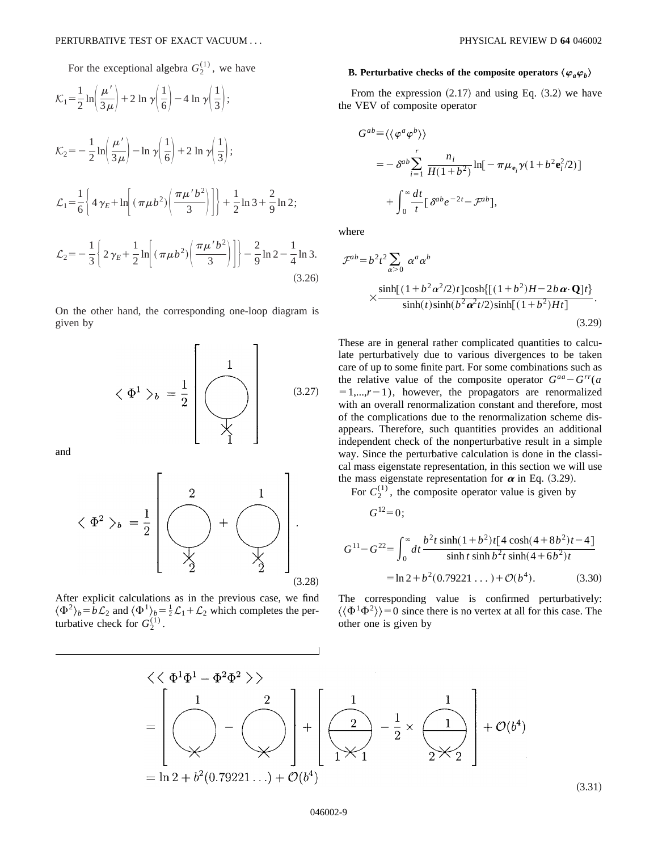For the exceptional algebra  $G_2^{(1)}$ , we have

$$
\mathcal{K}_1 = \frac{1}{2} \ln \left( \frac{\mu'}{3\mu} \right) + 2 \ln \gamma \left( \frac{1}{6} \right) - 4 \ln \gamma \left( \frac{1}{3} \right);
$$
\n
$$
\mathcal{K}_2 = -\frac{1}{2} \ln \left( \frac{\mu'}{3\mu} \right) - \ln \gamma \left( \frac{1}{6} \right) + 2 \ln \gamma \left( \frac{1}{3} \right);
$$
\n
$$
\mathcal{L}_1 = \frac{1}{6} \left\{ 4 \gamma_E + \ln \left[ \left( \pi \mu b^2 \right) \left( \frac{\pi \mu' b^2}{3} \right) \right] \right\} + \frac{1}{2} \ln 3 + \frac{2}{9} \ln 2;
$$
\n
$$
\mathcal{L}_2 = -\frac{1}{3} \left\{ 2 \gamma_E + \frac{1}{2} \ln \left[ \left( \pi \mu b^2 \right) \left( \frac{\pi \mu' b^2}{3} \right) \right] \right\} - \frac{2}{9} \ln 2 - \frac{1}{4} \ln 3.
$$
\n(3.26)

On the other hand, the corresponding one-loop diagram is given by

$$
\langle \Phi^1 \rangle_b = \frac{1}{2} \begin{bmatrix} 1 \\ 0 \\ 0 \\ 1 \end{bmatrix}
$$
 (3.27)

and

$$
\langle \Phi^2 \rangle_b = \frac{1}{2} \left[ \underbrace{\begin{pmatrix} 2 & 1 \\ 0 & 1 \end{pmatrix}}_{\text{y}} \right] \cdot \underbrace{\begin{pmatrix} 2 & 1 \\ 0 & 1 \end{pmatrix}}_{\text{(3.28)}}
$$

After explicit calculations as in the previous case, we find  $\langle \Phi^2 \rangle_b = b \mathcal{L}_2$  and  $\langle \Phi^1 \rangle_b = \frac{1}{2} \mathcal{L}_1 + \mathcal{L}_2$  which completes the perturbative check for  $G_2^{(1)}$ .

### **B. Perturbative checks of the composite operators**  $\langle \varphi_a \varphi_b \rangle$

From the expression  $(2.17)$  and using Eq.  $(3.2)$  we have the VEV of composite operator

$$
G^{ab} \equiv \langle \langle \varphi^a \varphi^b \rangle \rangle
$$
  
=  $-\delta^{ab} \sum_{i=1}^r \frac{n_i}{H(1+b^2)} \ln[-\pi \mu_{e_i} \gamma (1+b^2 e_i^2/2)]$   
+  $\int_0^\infty \frac{dt}{t} [\delta^{ab} e^{-2t} - \mathcal{F}^{ab}],$ 

where

$$
\mathcal{F}^{ab} = b^2 t^2 \sum_{\alpha > 0} \alpha^a \alpha^b
$$
  
 
$$
\times \frac{\sinh[(1 + b^2 \alpha^2 / 2)t] \cosh\{[(1 + b^2)H - 2b \alpha \cdot \mathbf{Q}]\}t\}}{\sinh(t) \sinh(b^2 \alpha^2 t / 2) \sinh[(1 + b^2)Ht]}.
$$
 (3.29)

These are in general rather complicated quantities to calculate perturbatively due to various divergences to be taken care of up to some finite part. For some combinations such as the relative value of the composite operator  $G^{aa} - G^{rr}(a)$  $=1,...,r-1$ ), however, the propagators are renormalized with an overall renormalization constant and therefore, most of the complications due to the renormalization scheme disappears. Therefore, such quantities provides an additional independent check of the nonperturbative result in a simple way. Since the perturbative calculation is done in the classical mass eigenstate representation, in this section we will use the mass eigenstate representation for  $\alpha$  in Eq. (3.29).

For  $C_2^{(1)}$ , the composite operator value is given by

 $G^{12}=0$ ;

$$
G^{11} - G^{22} = \int_0^\infty dt \frac{b^2 t \sinh(1 + b^2)t [4 \cosh(4 + 8b^2)t - 4]}{\sinh t \sinh b^2 t \sinh(4 + 6b^2)t}
$$
  
= ln 2 + b<sup>2</sup>(0.79221...) + O(b<sup>4</sup>). (3.30)

The corresponding value is confirmed perturbatively:  $\langle \langle \Phi^1 \Phi^2 \rangle \rangle = 0$  since there is no vertex at all for this case. The other one is given by

$$
\langle \langle \Phi^1 \Phi^1 - \Phi^2 \Phi^2 \rangle \rangle
$$
\n
$$
= \left[ \bigotimes_{\mathcal{H}} \left( -\bigotimes_{\mathcal{H}} \left( \bigotimes_{\mathcal{H}} \left( \bigotimes_{\mathcal{H}} \left( \bigotimes_{\mathcal{H}} \left( \bigotimes_{\mathcal{H}} \left( \bigotimes_{\mathcal{H}} \left( \bigotimes_{\mathcal{H}} \left( \bigotimes_{\mathcal{H}} \left( \bigotimes_{\mathcal{H}} \left( \bigotimes_{\mathcal{H}} \left( \bigotimes_{\mathcal{H}} \left( \bigotimes_{\mathcal{H}} \left( \bigotimes_{\mathcal{H}} \left( \bigotimes_{\mathcal{H}} \left( \bigotimes_{\mathcal{H}} \left( \bigotimes_{\mathcal{H}} \left( \bigotimes_{\mathcal{H}} \left( \bigotimes_{\mathcal{H}} \left( \bigotimes_{\mathcal{H}} \left( \bigotimes_{\mathcal{H}} \left( \bigotimes_{\mathcal{H}} \left( \bigotimes_{\mathcal{H}} \left( \bigotimes_{\mathcal{H}} \left( \bigotimes_{\mathcal{H}} \left( \bigotimes_{\mathcal{H}} \left( \bigotimes_{\mathcal{H}} \left( \bigotimes_{\mathcal{H}} \left( \bigotimes_{\mathcal{H}} \left( \bigotimes_{\mathcal{H}} \left( \bigotimes_{\mathcal{H}} \left( \bigotimes_{\mathcal{H}} \left( \bigotimes_{\mathcal{H}} \left( \bigotimes_{\mathcal{H}} \left( \bigotimes_{\mathcal{H}} \left( \bigotimes_{\mathcal{H}} \left( \bigotimes_{\mathcal{H}} \left( \bigotimes_{\mathcal{H}} \left( \bigotimes_{\mathcal{H}} \left( \bigotimes_{\mathcal{H}} \left( \bigotimes_{\mathcal{H}} \left( \bigotimes_{\mathcal{H}} \left( \bigotimes_{\mathcal{H}} \left( \bigotimes_{\mathcal{H}} \left( \bigotimes_{\mathcal{H}} \left( \bigotimes_{\mathcal{H}} \left( \bigotimes_{\mathcal{H}} \left( \bigotimes_{\mathcal{H}} \left( \bigotimes_{\mathcal{H}} \left( \bigotimes_{\mathcal{H}} \left( \bigotimes_{\mathcal{H}} \left( \bigotimes_{\
$$

 $(3.31)$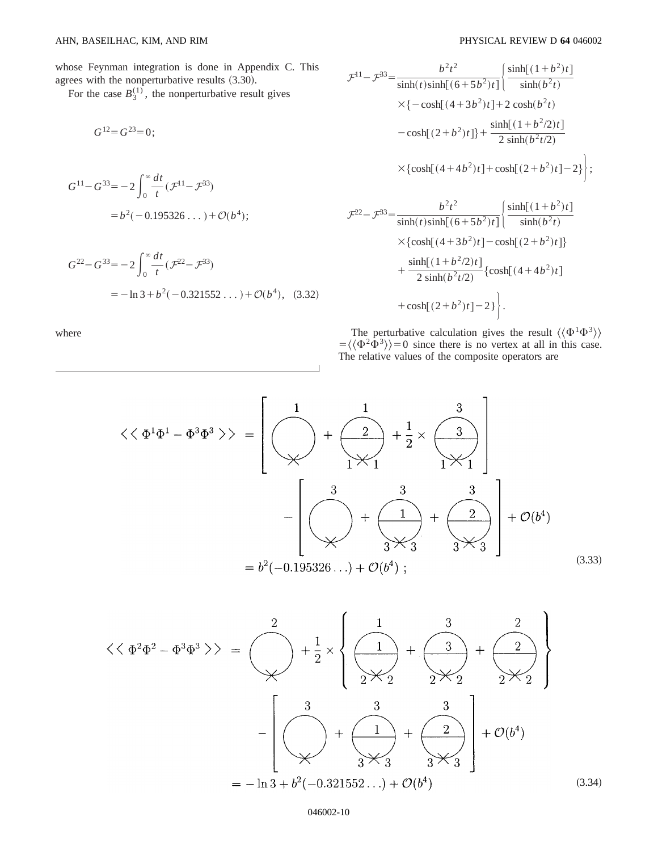whose Feynman integration is done in Appendix C. This agrees with the nonperturbative results  $(3.30)$ .

For the case  $B_3^{(1)}$ , the nonperturbative result gives

$$
G^{12}=G^{23}=0;
$$

$$
G^{11} - G^{33} = -2 \int_0^\infty \frac{dt}{t} (\mathcal{F}^{11} - \mathcal{F}^{33})
$$
  
=  $b^2(-0.195326...) + \mathcal{O}(b^4);$ 

$$
G^{22} - G^{33} = -2 \int_0^\infty \frac{dt}{t} (\mathcal{F}^{22} - \mathcal{F}^{33})
$$
  
= -\ln 3 + b^2(-0.321552...) + \mathcal{O}(b^4), (3.32)

where

$$
\mathcal{F}^{11} - \mathcal{F}^{33} = \frac{b^2 t^2}{\sinh(t)\sinh[(6+5b^2)t]} \left\{ \frac{\sinh[(1+b^2)t]}{\sinh(b^2t)} \right\}
$$
  

$$
\times \{-\cosh[(4+3b^2)t] + 2\cosh(b^2t)
$$
  

$$
-\cosh[(2+b^2)t] \} + \frac{\sinh[(1+b^2/2)t]}{2\sinh(b^2t/2)}
$$
  

$$
\times \{\cosh[(4+4b^2)t] + \cosh[(2+b^2)t] - 2\} \right\};
$$
  

$$
\mathcal{F}^{22} - \mathcal{F}^{33} = \frac{b^2 t^2}{\sinh(t)\sinh[(6+5b^2)t]} \left\{ \frac{\sinh[(1+b^2)t]}{\sinh(b^2t)} \right\}
$$
  

$$
\times \{\cosh[(4+3b^2)t] - \cosh[(2+b^2)t] \}
$$
  

$$
+ \frac{\sinh[(1+b^2/2)t]}{2\sinh(b^2t/2)} \{\cosh[(4+4b^2)t] \}
$$

$$
+\cosh[(2+b^2)t]-2\}\bigg\}.
$$

The perturbative calculation gives the result  $\langle \langle \Phi^1 \Phi^3 \rangle \rangle$  $=\langle \langle \Phi^2 \hat{\Phi}^3 \rangle \rangle = 0$  since there is no vertex at all in this case. The relative values of the composite operators are

$$
\langle \langle \Phi^{1} \Phi^{1} - \Phi^{3} \Phi^{3} \rangle \rangle = \left[ \sqrt{\frac{1}{\sqrt{1 + \frac{1}{1 + \frac{1}{2}}}} + \frac{1}{2} \times \frac{3}{\sqrt{1 + \frac{1}{2}}}} \right] + \sqrt{\frac{3}{\sqrt{1 + \frac{1}{2}}}} + \sqrt{\frac{3}{\sqrt{1 + \frac{1}{2}}}} + \sqrt{\frac{3}{\sqrt{1 + \frac{1}{2}}}} + \sqrt{\frac{3}{\sqrt{1 + \frac{1}{2}}}} + \sqrt{\frac{3}{\sqrt{1 + \frac{1}{2}}}} + \sqrt{\frac{3}{\sqrt{1 + \frac{1}{2}}}} + \sqrt{\frac{3}{\sqrt{1 + \frac{1}{2}}}} + \sqrt{\frac{3}{\sqrt{1 + \frac{1}{2}}}} + \sqrt{\frac{3}{\sqrt{1 + \frac{1}{2}}}} + \sqrt{\frac{3}{\sqrt{1 + \frac{1}{2}}}} + \sqrt{\frac{3}{\sqrt{1 + \frac{1}{2}}}} + \sqrt{\frac{3}{\sqrt{1 + \frac{1}{2}}}} + \sqrt{\frac{3}{\sqrt{1 + \frac{1}{2}}}} + \sqrt{\frac{3}{\sqrt{1 + \frac{1}{2}}}} + \sqrt{\frac{3}{\sqrt{1 + \frac{1}{2}}}} + \sqrt{\frac{3}{\sqrt{1 + \frac{1}{2}}}} + \sqrt{\frac{3}{\sqrt{1 + \frac{1}{2}}}} + \sqrt{\frac{3}{\sqrt{1 + \frac{1}{2}}}} + \sqrt{\frac{3}{\sqrt{1 + \frac{1}{2}}}} + \sqrt{\frac{3}{\sqrt{1 + \frac{1}{2}}}} + \sqrt{\frac{3}{\sqrt{1 + \frac{1}{2}}}} + \sqrt{\frac{3}{\sqrt{1 + \frac{1}{2}}}} + \sqrt{\frac{3}{\sqrt{1 + \frac{1}{2}}}} + \sqrt{\frac{3}{\sqrt{1 + \frac{1}{2}}}} + \sqrt{\frac{3}{\sqrt{1 + \frac{1}{2}}}} + \sqrt{\frac{3}{\sqrt{1 + \frac{1}{2}}}} + \sqrt{\frac{3}{\sqrt{1 + \frac{1}{2}}}} + \sqrt{\frac{3}{\sqrt{1 + \frac{1}{2}}}} + \sqrt{\frac{3}{\sqrt{1 + \frac{1}{2}}}} + \sqrt{\frac{3}{\sqrt{1 + \frac{1}{2}}}} + \sqrt{\frac{3}{\sqrt{1 + \frac{1}{2}}}} + \sqrt{\frac{3}{\sqrt{1 + \frac{1}{
$$

$$
\langle \langle \Phi^2 \Phi^2 - \Phi^3 \Phi^3 \rangle \rangle = \left( \bigvee_{\mathcal{H}} + \frac{1}{2} \times \left\{ \frac{1}{2 \times 2} + \frac{3}{2 \times 2} + \frac{2}{2 \times 2} \right\} \right)
$$

$$
- \left[ \left( \bigvee_{\mathcal{H}} + \left( \frac{3}{2 \times 3} + \frac{3}{2 \times 3} \right) \right] + \left( \bigvee_{\mathcal{H}} + \left( \frac{2}{2 \times 3} \right) \right] + \mathcal{O}(b^4)
$$

$$
= -\ln 3 + b^2(-0.321552...) + \mathcal{O}(b^4) \tag{3.34}
$$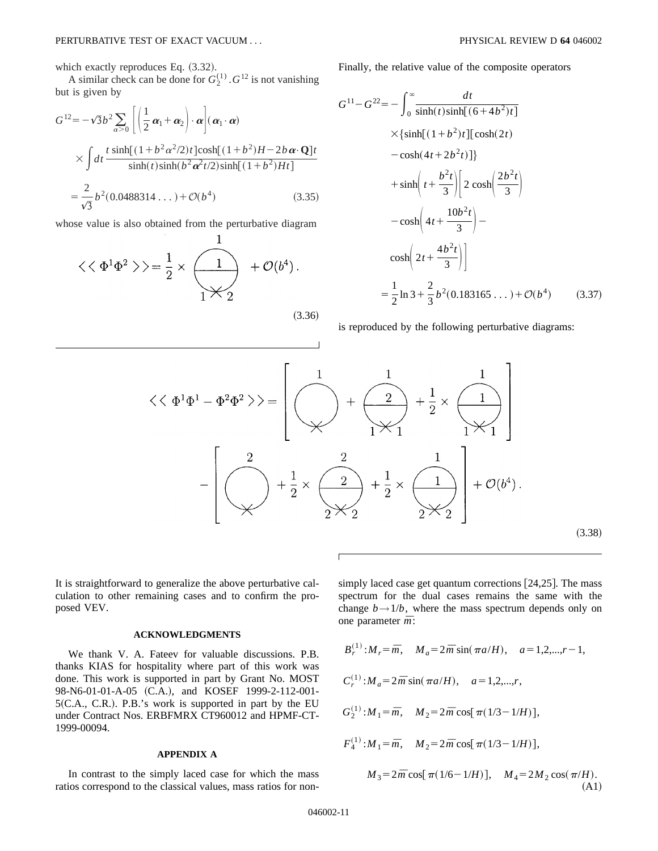which exactly reproduces Eq.  $(3.32)$ .

A similar check can be done for  $G_2^{(1)}$ .  $G^{12}$  is not vanishing but is given by

$$
G^{12} = -\sqrt{3}b^2 \sum_{\alpha > 0} \left[ \left( \frac{1}{2} \alpha_1 + \alpha_2 \right) \cdot \alpha \right] (\alpha_1 \cdot \alpha)
$$
  
 
$$
\times \int dt \frac{t \sinh[(1 + b^2 \alpha^2 / 2)t] \cosh[(1 + b^2)H - 2b \alpha \cdot \mathbf{Q}]t}{\sinh(t) \sinh(b^2 \alpha^2 t / 2) \sinh[(1 + b^2)Ht]}
$$
  
=  $\frac{2}{\sqrt{3}} b^2 (0.0488314 ...) + \mathcal{O}(b^4)$  (3.35)

whose value is also obtained from the perturbative diagram

$$
\langle \langle \Phi^1 \Phi^2 \rangle \rangle = \frac{1}{2} \times \underbrace{\begin{pmatrix} 1 \\ 1 \end{pmatrix}}_{1} + \mathcal{O}(b^4).
$$

 $\mathbf{1}$ 

 $(3.36)$ 

Finally, the relative value of the composite operators

$$
G^{11} - G^{22} = -\int_0^\infty \frac{dt}{\sinh(t)\sinh[(6+4b^2)t]}
$$
  
\n
$$
\times {\sinh[(1+b^2)t][\cosh(2t) - \cosh(4t+2b^2t)]}
$$
  
\n
$$
+ \sinh\left(t + \frac{b^2t}{3}\right) \left[2\cosh\left(\frac{2b^2t}{3}\right) - \cosh\left(4t + \frac{10b^2t}{3}\right) - \cosh\left(2t + \frac{4b^2t}{3}\right)\right]
$$
  
\n
$$
= \frac{1}{2}\ln 3 + \frac{2}{3}b^2(0.183165...) + \mathcal{O}(b^4) \qquad (3.37)
$$

is reproduced by the following perturbative diagrams:

$$
\langle \langle \Phi^{1} \Phi^{1} - \Phi^{2} \Phi^{2} \rangle \rangle = \left[ \left( \bigvee_{\chi} \begin{array}{c} 1 & 1 \\ \chi & \chi^{2} \\ \chi & \chi^{2} \end{array} + \frac{1}{2} \times \left( \bigvee_{\chi^{2}} \begin{array}{c} 1 \\ \chi^{2} \\ \chi^{2} \end{array} \right) \right] - \left[ \left( \bigvee_{\chi^{2}} \begin{array}{c} 2 & 1 \\ \chi^{2} \\ \chi^{2} \end{array} + \frac{1}{2} \times \left( \bigvee_{\chi^{2}} \begin{array}{c} 1 \\ \chi^{2} \\ \chi^{2} \end{array} \right) + \frac{1}{2} \times \left( \bigvee_{\chi^{2}} \begin{array}{c} 1 \\ \chi^{2} \\ \chi^{2} \end{array} \right) \right] + \mathcal{O}(b^{4}). \tag{3.38}
$$

Г

It is straightforward to generalize the above perturbative calculation to other remaining cases and to confirm the proposed VEV.

#### **ACKNOWLEDGMENTS**

We thank V. A. Fateev for valuable discussions. P.B. thanks KIAS for hospitality where part of this work was done. This work is supported in part by Grant No. MOST 98-N6-01-01-A-05 (C.A.), and KOSEF 1999-2-112-001- $5(C.A., C.R.).$  P.B.'s work is supported in part by the EU under Contract Nos. ERBFMRX CT960012 and HPMF-CT-1999-00094.

#### **APPENDIX A**

In contrast to the simply laced case for which the mass ratios correspond to the classical values, mass ratios for nonsimply laced case get quantum corrections  $[24,25]$ . The mass spectrum for the dual cases remains the same with the change  $b \rightarrow 1/b$ , where the mass spectrum depends only on one parameter *m¯*:

$$
B_r^{(1)}: M_r = \bar{m}, \quad M_a = 2\bar{m} \sin(\pi a/H), \quad a = 1, 2, \dots, r - 1,
$$
  
\n
$$
C_r^{(1)}: M_a = 2\bar{m} \sin(\pi a/H), \quad a = 1, 2, \dots, r,
$$
  
\n
$$
G_2^{(1)}: M_1 = \bar{m}, \quad M_2 = 2\bar{m} \cos[\pi (1/3 - 1/H)],
$$
  
\n
$$
F_4^{(1)}: M_1 = \bar{m}, \quad M_2 = 2\bar{m} \cos[\pi (1/3 - 1/H)],
$$
  
\n
$$
M_3 = 2\bar{m} \cos[\pi (1/6 - 1/H)], \quad M_4 = 2M_2 \cos(\pi/H).
$$
  
\n(A1)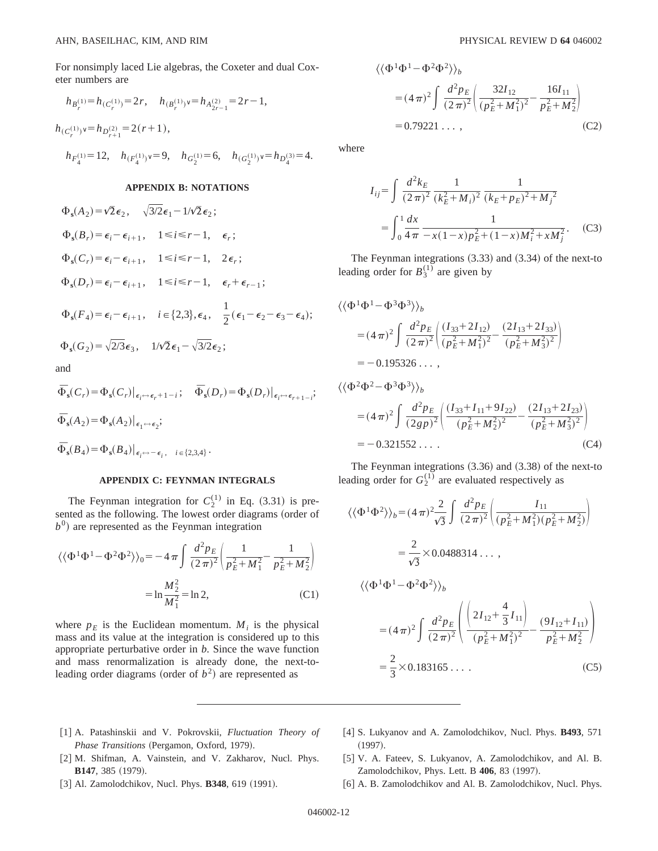For nonsimply laced Lie algebras, the Coxeter and dual Coxeter numbers are

$$
\begin{array}{l} h_{B_r^{(1)}}\!\!=\!h_{(C_r^{(1)})}\!\!=\!2\,r,\quad h_{(B_r^{(1)})^\vee}\!\!=\!h_{A_{2r-1}^{(2)}}\!=\!2\,r\!-\!1,\\ \\ h_{(C_r^{(1)})^\vee}\!\!=\!h_{D_{r+1}^{(2)}}\!\!=\!2(r\!+\!1),\\ \\ h_{F_4^{(1)}}\!\!=\!12,\quad h_{(F_4^{(1)})^\vee}\!\!=\!9,\quad h_{G_2^{(1)}}\!\!=\!6,\quad h_{(G_2^{(1)})^\vee}\!\!=\!h_{D_4^{(3)}}\!\!=\!4. \end{array}
$$

#### **APPENDIX B: NOTATIONS**

$$
\Phi_{s}(A_{2}) = \sqrt{2} \epsilon_{2}, \quad \sqrt{3/2} \epsilon_{1} - 1/\sqrt{2} \epsilon_{2};
$$
\n
$$
\Phi_{s}(B_{r}) = \epsilon_{i} - \epsilon_{i+1}, \quad 1 \leq i \leq r - 1, \quad \epsilon_{r};
$$
\n
$$
\Phi_{s}(C_{r}) = \epsilon_{i} - \epsilon_{i+1}, \quad 1 \leq i \leq r - 1, \quad 2 \epsilon_{r};
$$
\n
$$
\Phi_{s}(D_{r}) = \epsilon_{i} - \epsilon_{i+1}, \quad 1 \leq i \leq r - 1, \quad \epsilon_{r} + \epsilon_{r-1};
$$
\n
$$
\Phi_{s}(F_{4}) = \epsilon_{i} - \epsilon_{i+1}, \quad i \in \{2,3\}, \epsilon_{4}, \quad \frac{1}{2}(\epsilon_{1} - \epsilon_{2} - \epsilon_{3} - \epsilon_{4});
$$
\n
$$
\Phi_{s}(G_{2}) = \sqrt{2/3} \epsilon_{3}, \quad 1/\sqrt{2} \epsilon_{1} - \sqrt{3/2} \epsilon_{2};
$$
\nand

an

$$
\begin{aligned}\n\Phi_{\mathbf{s}}(C_r) &= \Phi_{\mathbf{s}}(C_r) \big|_{\epsilon_i \to \epsilon_r + 1 - i}; \quad \Phi_{\mathbf{s}}(D_r) = \Phi_{\mathbf{s}}(D_r) \big|_{\epsilon_i \to \epsilon_{r+1-i}};\n\Phi_{\mathbf{s}}(A_2) &= \Phi_{\mathbf{s}}(A_2) \big|_{\epsilon_1 \to \epsilon_2};\n\Phi_{\mathbf{s}}(B_4) &= \Phi_{\mathbf{s}}(B_4) \big|_{\epsilon_i \to -\epsilon_i}, \quad i \in \{2, 3, 4\}.\n\end{aligned}
$$

## **APPENDIX C: FEYNMAN INTEGRALS**

The Feynman integration for  $C_2^{(1)}$  in Eq. (3.31) is presented as the following. The lowest order diagrams (order of  $b<sup>0</sup>$ ) are represented as the Feynman integration

$$
\langle \langle \Phi^1 \Phi^1 - \Phi^2 \Phi^2 \rangle \rangle_0 = -4 \pi \int \frac{d^2 p_E}{(2 \pi)^2} \left( \frac{1}{p_E^2 + M_1^2} - \frac{1}{p_E^2 + M_2^2} \right)
$$

$$
= \ln \frac{M_2^2}{M_1^2} = \ln 2, \tag{C1}
$$

where  $p_E$  is the Euclidean momentum.  $M_i$  is the physical mass and its value at the integration is considered up to this appropriate perturbative order in *b*. Since the wave function and mass renormalization is already done, the next-toleading order diagrams (order of  $b<sup>2</sup>$ ) are represented as

$$
\langle \langle \Phi^1 \Phi^1 - \Phi^2 \Phi^2 \rangle \rangle_b
$$
  
=  $(4\pi)^2 \int \frac{d^2 p_E}{(2\pi)^2} \left( \frac{32I_{12}}{(p_E^2 + M_1^2)^2} - \frac{16I_{11}}{p_E^2 + M_2^2} \right)$   
= 0.79221 ... , (C2)

where

$$
I_{ij} = \int \frac{d^2 k_E}{(2\pi)^2} \frac{1}{(k_E^2 + M_i)^2} \frac{1}{(k_E + p_E)^2 + M_j^2}
$$
  
= 
$$
\int_0^1 \frac{dx}{4\pi} \frac{1}{-x(1-x)p_E^2 + (1-x)M_i^2 + xM_j^2}.
$$
 (C3)

The Feynman integrations  $(3.33)$  and  $(3.34)$  of the next-to leading order for  $B_3^{(1)}$  are given by

$$
\langle \langle \Phi^1 \Phi^1 - \Phi^3 \Phi^3 \rangle \rangle_b
$$
  
=  $(4 \pi)^2 \int \frac{d^2 p_E}{(2 \pi)^2} \left( \frac{(I_{33} + 2I_{12})}{(p_E^2 + M_1^2)^2} - \frac{(2I_{13} + 2I_{33})}{(p_E^2 + M_3^2)^2} \right)$   
=  $-0.195326...$ ,  
 $\langle \langle \Phi^2 \Phi^2 - \Phi^3 \Phi^3 \rangle \rangle_b$   
=  $(4 \pi)^2 \int \frac{d^2 p_E}{(2gp)^2} \left( \frac{(I_{33} + I_{11} + 9I_{22})}{(p_E^2 + M_2^2)^2} - \frac{(2I_{13} + 2I_{23})}{(p_E^2 + M_3^2)^2} \right)$ 

The Feynman integrations  $(3.36)$  and  $(3.38)$  of the next-to leading order for  $G_2^{(1)}$  are evaluated respectively as

 $= -0.321552...$  (C4)

$$
\langle \langle \Phi^1 \Phi^2 \rangle \rangle_b = (4 \pi)^2 \frac{2}{\sqrt{3}} \int \frac{d^2 p_E}{(2 \pi)^2} \left( \frac{I_{11}}{(p_E^2 + M_1^2)(p_E^2 + M_2^2)} \right)
$$
  

$$
= \frac{2}{\sqrt{3}} \times 0.0488314 \dots ,
$$
  

$$
\langle \langle \Phi^1 \Phi^1 - \Phi^2 \Phi^2 \rangle \rangle_b
$$
  

$$
= (4 \pi)^2 \int \frac{d^2 p_E}{(2 \pi)^2} \left( \frac{2I_{12} + \frac{4}{3}I_{11}}{(p_E^2 + M_1^2)^2} - \frac{(9I_{12} + I_{11})}{p_E^2 + M_2^2} \right)
$$
  

$$
= \frac{2}{3} \times 0.183165 \dots .
$$
 (C5)

- @1# A. Patashinskii and V. Pokrovskii, *Fluctuation Theory of Phase Transitions* (Pergamon, Oxford, 1979).
- [2] M. Shifman, A. Vainstein, and V. Zakharov, Nucl. Phys. **B147**, 385 (1979).
- [3] Al. Zamolodchikov, Nucl. Phys. **B348**, 619 (1991).
- @4# S. Lukyanov and A. Zamolodchikov, Nucl. Phys. **B493**, 571  $(1997).$
- [5] V. A. Fateev, S. Lukyanov, A. Zamolodchikov, and Al. B. Zamolodchikov, Phys. Lett. B 406, 83 (1997).
- [6] A. B. Zamolodchikov and Al. B. Zamolodchikov, Nucl. Phys.